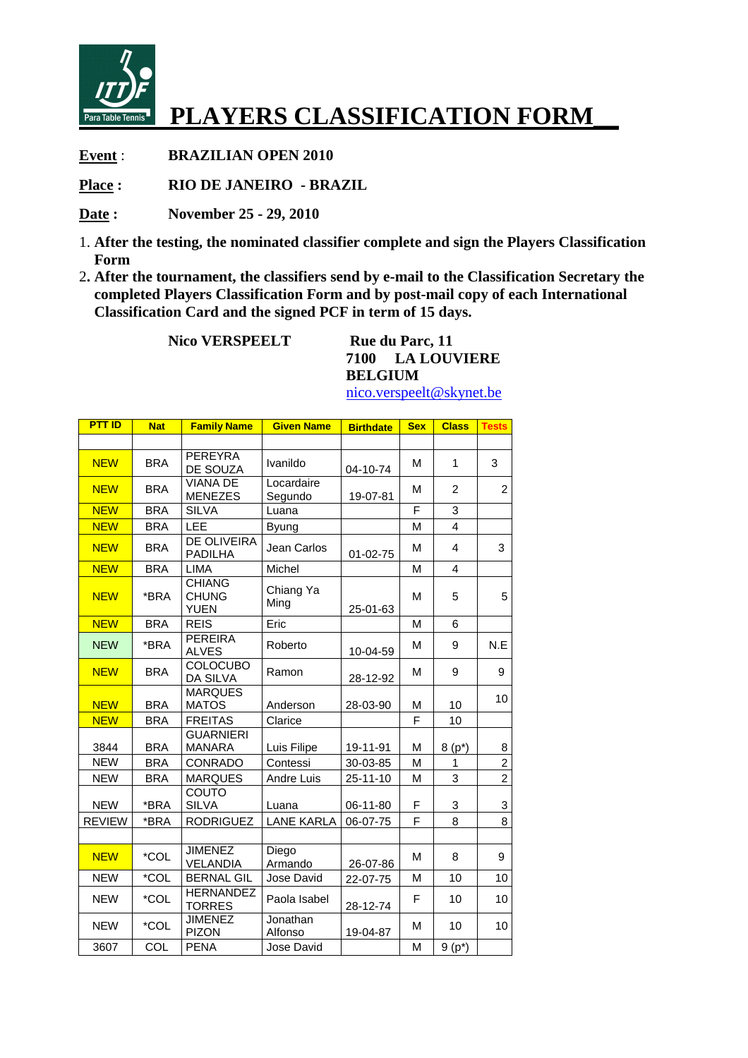

## **PLAYERS CLASSIFICATION FORM\_\_**

**Event** : **BRAZILIAN OPEN 2010** 

**Place : RIO DE JANEIRO - BRAZIL** 

**Date : November 25 - 29, 2010** 

- 1. **After the testing, the nominated classifier complete and sign the Players Classification Form**
- 2**. After the tournament, the classifiers send by e-mail to the Classification Secretary the completed Players Classification Form and by post-mail copy of each International Classification Card and the signed PCF in term of 15 days.**

**Nico VERSPEELT** Rue du Parc, 11

**7100 LA LOUVIERE BELGIUM** 

**PTT ID** | Nat | Family Name | Given Name | Birthdate | Sex | Class | Tests NEW BRA PEREYRA DE SOUZA Ivanildo 04-10-74 M 1 3 NEW BRA VIANA DE MENEZES **Locardaire**  $S$ egundo 19-07-81 M 2 2 <mark>NEW BRA SILVA | Luana | F | 3</mark> <mark>NEW BRA LEE Byung | M | 4</mark> NEW BRA DE OLIVEIRA Jean Carlos  $\begin{array}{|c|c|c|c|c|} \hline 01-02-75 & M & 4 & 3 \ \hline \end{array}$ <mark>NEW BRA LIMA Michel | M | 4</mark> NEW **\*BRA** CHIANG CHUNG YUEN Chiang Ya Ming 25-01-63 M | 5 | 5 <mark>NEW BRA REIS Fric | M 6</mark> NEW \*BRA PEREIRA Roberto  $10-04-59$  M 9 N.E NEW BRA COLOCUBO  $\begin{array}{|c|c|c|c|c|c|}\n\hline\n\text{DA SILVA} & \text{Ramon} & 28-12-92 & M & 9\n\end{array}$ NEW BRA MARQUES  $MATOS$   $\left| \begin{array}{c} \text{MAKQUES} \\ \text{Anderson} \end{array} \right| 28-03-90 \left| M \right| 10 \left| 10 \right|$ NEW BRA FREITAS Clarice | F | 10 3844 BRA GUARNIERI Luis Filipe | 19-11-91 | M | 8 (p<sup>\*</sup>) | 8  $NEW$  BRA CONRADO Contessi  $30-03-85$  M 1 1 2  $NEW$  | BRA MARQUES | Andre Luis | 25-11-10 | M | 3 | 2 NEW **FRA** COUTO  $SILVA$   $\lvert$   $\lvert$   $\lvert$   $\lvert$   $\lvert$   $\lvert$   $\lvert$   $\lvert$   $\lvert$   $\lvert$   $\lvert$   $\lvert$   $\lvert$   $\lvert$   $\lvert$   $\lvert$   $\lvert$   $\lvert$   $\lvert$   $\lvert$   $\lvert$   $\lvert$   $\lvert$   $\lvert$   $\lvert$   $\lvert$   $\lvert$   $\lvert$   $\lvert$   $\lvert$   $\lvert$   $\lvert$   $\lvert$   $\lvert$   $\lvert$   $\lvert$ REVIEW  $\vert$  \*BRA RODRIGUEZ LANE KARLA 06-07-75 F  $\vert$  8  $\vert$  8 NEW \*COL JIMENEZ VELANDIA Diego  $\begin{array}{c|c|c|c|c|c} \text{Dlego} & & 26-07-86 & M & 8 & 9 \end{array}$ NEW | \*COL | BERNAL GIL | Jose David | 22-07-75 | M | 10 | 10 NEW **\*COL** HERNANDEZ Paola Isabel  $\begin{array}{|c|c|c|c|c|} \hline 28-12-74 & F & 10 & 10 \ \hline \end{array}$ NEW **COL** JIMENEZ PIZON Jonathan<br>Alfonso  $A_19 - 04 - 87$  M 10 10  $3607$  COL PENA Jose David  $M \mid 9 (p^*)$ 

nico.verspeelt@skynet.be